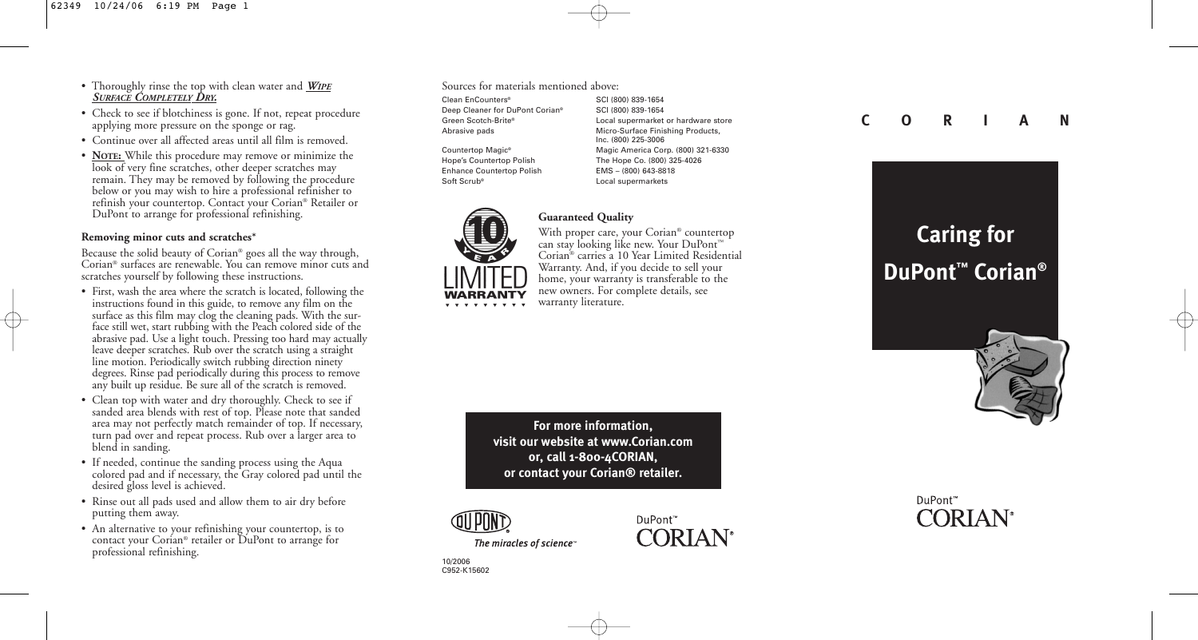- Thoroughly rinse the top with clean water and *WIPE SURFACE COMPLETELY DRY.*
- Check to see if blotchiness is gone. If not, repeat procedure applying more pressure on the sponge or rag.
- Continue over all affected areas until all film is removed.
- **NOTE:** While this procedure may remove or minimize the look of very fine scratches, other deeper scratches may remain. They may be removed by following the procedure below or you may wish to hire a professional refinisher to refinish your countertop. Contact your Corian® Retailer or DuPont to arrange for professional refinishing.

# **Removing minor cuts and scratches\***

Because the solid beauty of Corian® goes all the way through, Corian® surfaces are renewable. You can remove minor cuts and scratches yourself by following these instructions.

- First, wash the area where the scratch is located, following the instructions found in this guide, to remove any film on the surface as this film may clog the cleaning pads. With the surface still wet, start rubbing with the Peach colored side of the abrasive pad. Use a light touch. Pressing too hard may actually leave deeper scratches. Rub over the scratch using a straight line motion. Periodically switch rubbing direction ninety degrees. Rinse pad periodically during this process to remove any built up residue. Be sure all of the scratch is removed.
- Clean top with water and dry thoroughly. Check to see if sanded area blends with rest of top. Please note that sanded area may not perfectly match remainder of top. If necessary, turn pad over and repeat process. Rub over a larger area to blend in sanding.
- If needed, continue the sanding process using the Aqua colored pad and if necessary, the Gray colored pad until the desired gloss level is achieved.
- Rinse out all pads used and allow them to air dry before putting them away.
- An alternative to your refinishing your countertop, is to contact your Corian® retailer or DuPont to arrange for professional refinishing.

#### Sources for materials mentioned above:

Clean EnCounters® SCI (800) 839-1654 Deep Cleaner for DuPont Corian® SCI (800) 839-1654

Enhance Countertop Polish EMS – (800) 643-8818 Soft Scrub<sup>®</sup> 2008 Local supermarkets

Green Scotch-Brite® Local supermarket or hardware store Abrasive pads **Micro-Surface Finishing Products**, Inc. (800) 225-3006 Countertop Magic® Magic America Corp. (800) 321-6330 Hope's Countertop Polish The Hope Co. (800) 325-4026



**Guaranteed Quality**

With proper care, your Corian® countertop can stay looking like new. Your DuPont™ Corian® carries a 10 Year Limited Residential Warranty. And, if you decide to sell your home, your warranty is transferable to the new owners. For complete details, see warranty literature.

**For more information, visit our website at www.Corian.com or, call 1-800-4CORIAN, or contact your Corian® retailer.**





# **C O R I A N**

# **Caring for DuPont™ Corian®**



# DuPont™ **CORIAN**<sup>®</sup>

10/2006 C952-K15602